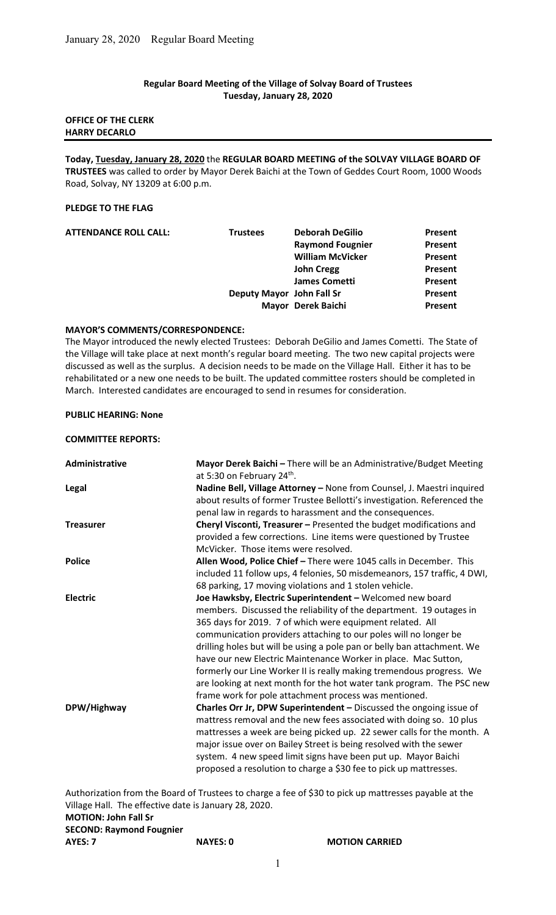## Regular Board Meeting of the Village of Solvay Board of Trustees Tuesday, January 28, 2020

## OFFICE OF THE CLERK HARRY DECARLO

Today, Tuesday, January 28, 2020 the REGULAR BOARD MEETING of the SOLVAY VILLAGE BOARD OF TRUSTEES was called to order by Mayor Derek Baichi at the Town of Geddes Court Room, 1000 Woods Road, Solvay, NY 13209 at 6:00 p.m.

## PLEDGE TO THE FLAG

| <b>ATTENDANCE ROLL CALL:</b> | <b>Trustees</b>           | <b>Deborah DeGilio</b>  | Present |
|------------------------------|---------------------------|-------------------------|---------|
|                              |                           | <b>Raymond Fougnier</b> | Present |
|                              |                           | <b>William McVicker</b> | Present |
|                              |                           | <b>John Cregg</b>       | Present |
|                              |                           | <b>James Cometti</b>    | Present |
|                              | Deputy Mayor John Fall Sr |                         | Present |
|                              |                           | Mayor Derek Baichi      | Present |
|                              |                           |                         |         |

## MAYOR'S COMMENTS/CORRESPONDENCE:

The Mayor introduced the newly elected Trustees: Deborah DeGilio and James Cometti. The State of the Village will take place at next month's regular board meeting. The two new capital projects were discussed as well as the surplus. A decision needs to be made on the Village Hall. Either it has to be rehabilitated or a new one needs to be built. The updated committee rosters should be completed in March. Interested candidates are encouraged to send in resumes for consideration.

# PUBLIC HEARING: None

## COMMITTEE REPORTS:

| <b>Administrative</b> | Mayor Derek Baichi - There will be an Administrative/Budget Meeting<br>at 5:30 on February 24 <sup>th</sup> .                                                                                                                                                                                                                                                                                                                                                                                                                                                                                                            |
|-----------------------|--------------------------------------------------------------------------------------------------------------------------------------------------------------------------------------------------------------------------------------------------------------------------------------------------------------------------------------------------------------------------------------------------------------------------------------------------------------------------------------------------------------------------------------------------------------------------------------------------------------------------|
| <b>Legal</b>          | Nadine Bell, Village Attorney - None from Counsel, J. Maestri inquired<br>about results of former Trustee Bellotti's investigation. Referenced the<br>penal law in regards to harassment and the consequences.                                                                                                                                                                                                                                                                                                                                                                                                           |
| <b>Treasurer</b>      | Cheryl Visconti, Treasurer - Presented the budget modifications and<br>provided a few corrections. Line items were questioned by Trustee<br>McVicker. Those items were resolved.                                                                                                                                                                                                                                                                                                                                                                                                                                         |
| <b>Police</b>         | Allen Wood, Police Chief - There were 1045 calls in December. This<br>included 11 follow ups, 4 felonies, 50 misdemeanors, 157 traffic, 4 DWI,<br>68 parking, 17 moving violations and 1 stolen vehicle.                                                                                                                                                                                                                                                                                                                                                                                                                 |
| <b>Electric</b>       | Joe Hawksby, Electric Superintendent - Welcomed new board<br>members. Discussed the reliability of the department. 19 outages in<br>365 days for 2019. 7 of which were equipment related. All<br>communication providers attaching to our poles will no longer be<br>drilling holes but will be using a pole pan or belly ban attachment. We<br>have our new Electric Maintenance Worker in place. Mac Sutton,<br>formerly our Line Worker II is really making tremendous progress. We<br>are looking at next month for the hot water tank program. The PSC new<br>frame work for pole attachment process was mentioned. |
| DPW/Highway           | Charles Orr Jr, DPW Superintendent - Discussed the ongoing issue of<br>mattress removal and the new fees associated with doing so. 10 plus<br>mattresses a week are being picked up. 22 sewer calls for the month. A<br>major issue over on Bailey Street is being resolved with the sewer<br>system. 4 new speed limit signs have been put up. Mayor Baichi<br>proposed a resolution to charge a \$30 fee to pick up mattresses.                                                                                                                                                                                        |

Authorization from the Board of Trustees to charge a fee of \$30 to pick up mattresses payable at the Village Hall. The effective date is January 28, 2020. MOTION: John Fall Sr

## SECOND: Raymond Fougnier

|         | <b>SECUND: REQUIDING FOUGHIEL</b> |  |
|---------|-----------------------------------|--|
| AYES: 7 |                                   |  |

NAYES: 0 MOTION CARRIED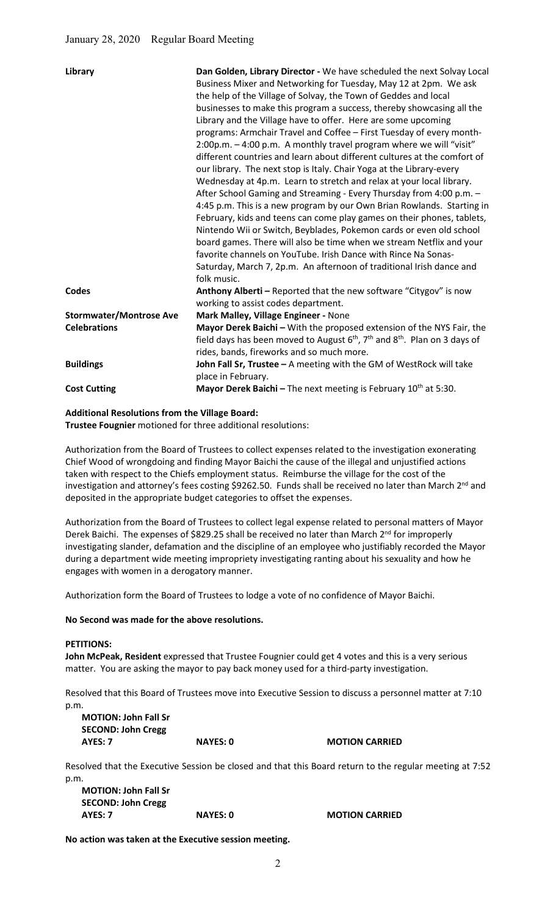| Library                        | Dan Golden, Library Director - We have scheduled the next Solvay Local<br>Business Mixer and Networking for Tuesday, May 12 at 2pm. We ask<br>the help of the Village of Solvay, the Town of Geddes and local<br>businesses to make this program a success, thereby showcasing all the<br>Library and the Village have to offer. Here are some upcoming<br>programs: Armchair Travel and Coffee - First Tuesday of every month-<br>2:00p.m. - 4:00 p.m. A monthly travel program where we will "visit"<br>different countries and learn about different cultures at the comfort of<br>our library. The next stop is Italy. Chair Yoga at the Library-every<br>Wednesday at 4p.m. Learn to stretch and relax at your local library.<br>After School Gaming and Streaming - Every Thursday from 4:00 p.m. -<br>4:45 p.m. This is a new program by our Own Brian Rowlands. Starting in<br>February, kids and teens can come play games on their phones, tablets,<br>Nintendo Wii or Switch, Beyblades, Pokemon cards or even old school<br>board games. There will also be time when we stream Netflix and your<br>favorite channels on YouTube. Irish Dance with Rince Na Sonas-<br>Saturday, March 7, 2p.m. An afternoon of traditional Irish dance and<br>folk music. |
|--------------------------------|-----------------------------------------------------------------------------------------------------------------------------------------------------------------------------------------------------------------------------------------------------------------------------------------------------------------------------------------------------------------------------------------------------------------------------------------------------------------------------------------------------------------------------------------------------------------------------------------------------------------------------------------------------------------------------------------------------------------------------------------------------------------------------------------------------------------------------------------------------------------------------------------------------------------------------------------------------------------------------------------------------------------------------------------------------------------------------------------------------------------------------------------------------------------------------------------------------------------------------------------------------------------------|
| Codes                          | Anthony Alberti - Reported that the new software "Citygov" is now<br>working to assist codes department.                                                                                                                                                                                                                                                                                                                                                                                                                                                                                                                                                                                                                                                                                                                                                                                                                                                                                                                                                                                                                                                                                                                                                              |
| <b>Stormwater/Montrose Ave</b> | Mark Malley, Village Engineer - None                                                                                                                                                                                                                                                                                                                                                                                                                                                                                                                                                                                                                                                                                                                                                                                                                                                                                                                                                                                                                                                                                                                                                                                                                                  |
| <b>Celebrations</b>            | Mayor Derek Baichi - With the proposed extension of the NYS Fair, the<br>field days has been moved to August $6th$ , $7th$ and $8th$ . Plan on 3 days of<br>rides, bands, fireworks and so much more.                                                                                                                                                                                                                                                                                                                                                                                                                                                                                                                                                                                                                                                                                                                                                                                                                                                                                                                                                                                                                                                                 |
| <b>Buildings</b>               | John Fall Sr, Trustee - A meeting with the GM of WestRock will take<br>place in February.                                                                                                                                                                                                                                                                                                                                                                                                                                                                                                                                                                                                                                                                                                                                                                                                                                                                                                                                                                                                                                                                                                                                                                             |
| <b>Cost Cutting</b>            | <b>Mayor Derek Baichi</b> – The next meeting is February $10^{th}$ at 5:30.                                                                                                                                                                                                                                                                                                                                                                                                                                                                                                                                                                                                                                                                                                                                                                                                                                                                                                                                                                                                                                                                                                                                                                                           |

#### Additional Resolutions from the Village Board:

Trustee Fougnier motioned for three additional resolutions:

Authorization from the Board of Trustees to collect expenses related to the investigation exonerating Chief Wood of wrongdoing and finding Mayor Baichi the cause of the illegal and unjustified actions taken with respect to the Chiefs employment status. Reimburse the village for the cost of the investigation and attorney's fees costing \$9262.50. Funds shall be received no later than March 2<sup>nd</sup> and deposited in the appropriate budget categories to offset the expenses.

Authorization from the Board of Trustees to collect legal expense related to personal matters of Mayor Derek Baichi. The expenses of \$829.25 shall be received no later than March 2<sup>nd</sup> for improperly investigating slander, defamation and the discipline of an employee who justifiably recorded the Mayor during a department wide meeting impropriety investigating ranting about his sexuality and how he engages with women in a derogatory manner.

Authorization form the Board of Trustees to lodge a vote of no confidence of Mayor Baichi.

#### No Second was made for the above resolutions.

#### PETITIONS:

John McPeak, Resident expressed that Trustee Fougnier could get 4 votes and this is a very serious matter. You are asking the mayor to pay back money used for a third-party investigation.

Resolved that this Board of Trustees move into Executive Session to discuss a personnel matter at 7:10 p.m.

MOTION: John Fall Sr SECOND: John Cregg AYES: 7 NAYES: 0 MOTION CARRIED

Resolved that the Executive Session be closed and that this Board return to the regular meeting at 7:52 p.m.

MOTION: John Fall Sr SECOND: John Cregg AYES: 7 NAYES: 0 MOTION CARRIED

No action was taken at the Executive session meeting.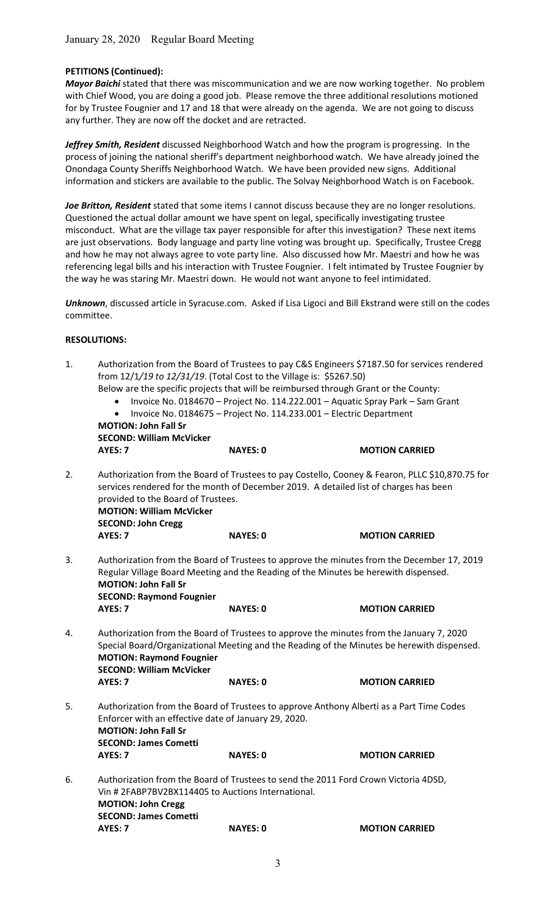# PETITIONS (Continued):

Mayor Baichi stated that there was miscommunication and we are now working together. No problem with Chief Wood, you are doing a good job. Please remove the three additional resolutions motioned for by Trustee Fougnier and 17 and 18 that were already on the agenda. We are not going to discuss any further. They are now off the docket and are retracted.

Jeffrey Smith, Resident discussed Neighborhood Watch and how the program is progressing. In the process of joining the national sheriff's department neighborhood watch. We have already joined the Onondaga County Sheriffs Neighborhood Watch. We have been provided new signs. Additional information and stickers are available to the public. The Solvay Neighborhood Watch is on Facebook.

Joe Britton, Resident stated that some items I cannot discuss because they are no longer resolutions. Questioned the actual dollar amount we have spent on legal, specifically investigating trustee misconduct. What are the village tax payer responsible for after this investigation? These next items are just observations. Body language and party line voting was brought up. Specifically, Trustee Cregg and how he may not always agree to vote party line. Also discussed how Mr. Maestri and how he was referencing legal bills and his interaction with Trustee Fougnier. I felt intimated by Trustee Fougnier by the way he was staring Mr. Maestri down. He would not want anyone to feel intimidated.

Unknown, discussed article in Syracuse.com. Asked if Lisa Ligoci and Bill Ekstrand were still on the codes committee.

### RESOLUTIONS:

| 1. | Authorization from the Board of Trustees to pay C&S Engineers \$7187.50 for services rendered<br>from 12/1/19 to 12/31/19. (Total Cost to the Village is: \$5267.50) |                                                                                      |                                                                                                                                                                                                            |  |  |  |
|----|----------------------------------------------------------------------------------------------------------------------------------------------------------------------|--------------------------------------------------------------------------------------|------------------------------------------------------------------------------------------------------------------------------------------------------------------------------------------------------------|--|--|--|
|    |                                                                                                                                                                      | Below are the specific projects that will be reimbursed through Grant or the County: |                                                                                                                                                                                                            |  |  |  |
|    | $\bullet$                                                                                                                                                            |                                                                                      | Invoice No. 0184670 - Project No. 114.222.001 - Aquatic Spray Park - Sam Grant                                                                                                                             |  |  |  |
|    | $\bullet$                                                                                                                                                            | Invoice No. 0184675 - Project No. 114.233.001 - Electric Department                  |                                                                                                                                                                                                            |  |  |  |
|    | <b>MOTION: John Fall Sr</b>                                                                                                                                          |                                                                                      |                                                                                                                                                                                                            |  |  |  |
|    | <b>SECOND: William McVicker</b>                                                                                                                                      |                                                                                      |                                                                                                                                                                                                            |  |  |  |
|    | AYES: 7                                                                                                                                                              | <b>NAYES: 0</b>                                                                      | <b>MOTION CARRIED</b>                                                                                                                                                                                      |  |  |  |
| 2. | provided to the Board of Trustees.<br><b>MOTION: William McVicker</b><br><b>SECOND: John Cregg</b>                                                                   |                                                                                      | Authorization from the Board of Trustees to pay Costello, Cooney & Fearon, PLLC \$10,870.75 for<br>services rendered for the month of December 2019. A detailed list of charges has been                   |  |  |  |
|    | AYES: 7                                                                                                                                                              | <b>NAYES: 0</b>                                                                      | <b>MOTION CARRIED</b>                                                                                                                                                                                      |  |  |  |
| 3. | <b>MOTION: John Fall Sr</b><br><b>SECOND: Raymond Fougnier</b><br>AYES: 7                                                                                            | <b>NAYES: 0</b>                                                                      | Authorization from the Board of Trustees to approve the minutes from the December 17, 2019<br>Regular Village Board Meeting and the Reading of the Minutes be herewith dispensed.<br><b>MOTION CARRIED</b> |  |  |  |
|    |                                                                                                                                                                      |                                                                                      |                                                                                                                                                                                                            |  |  |  |
| 4. | <b>MOTION: Raymond Fougnier</b><br><b>SECOND: William McVicker</b>                                                                                                   |                                                                                      | Authorization from the Board of Trustees to approve the minutes from the January 7, 2020<br>Special Board/Organizational Meeting and the Reading of the Minutes be herewith dispensed.                     |  |  |  |
|    | AYES: 7                                                                                                                                                              | <b>NAYES: 0</b>                                                                      | <b>MOTION CARRIED</b>                                                                                                                                                                                      |  |  |  |
| 5. | <b>MOTION: John Fall Sr</b><br><b>SECOND: James Cometti</b>                                                                                                          | Enforcer with an effective date of January 29, 2020.                                 | Authorization from the Board of Trustees to approve Anthony Alberti as a Part Time Codes                                                                                                                   |  |  |  |
|    | AYES: 7                                                                                                                                                              | <b>NAYES: 0</b>                                                                      | <b>MOTION CARRIED</b>                                                                                                                                                                                      |  |  |  |
| 6. | <b>MOTION: John Cregg</b><br><b>SECOND: James Cometti</b>                                                                                                            | Vin # 2FABP7BV2BX114405 to Auctions International.                                   | Authorization from the Board of Trustees to send the 2011 Ford Crown Victoria 4DSD,                                                                                                                        |  |  |  |
|    | AYES: 7                                                                                                                                                              | <b>NAYES: 0</b>                                                                      | <b>MOTION CARRIED</b>                                                                                                                                                                                      |  |  |  |
|    |                                                                                                                                                                      |                                                                                      |                                                                                                                                                                                                            |  |  |  |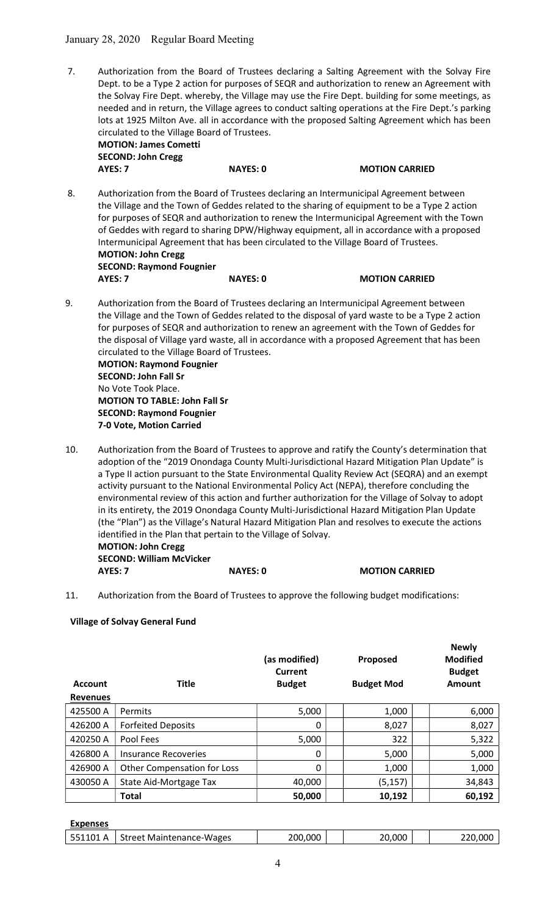7. Authorization from the Board of Trustees declaring a Salting Agreement with the Solvay Fire Dept. to be a Type 2 action for purposes of SEQR and authorization to renew an Agreement with the Solvay Fire Dept. whereby, the Village may use the Fire Dept. building for some meetings, as needed and in return, the Village agrees to conduct salting operations at the Fire Dept.'s parking lots at 1925 Milton Ave. all in accordance with the proposed Salting Agreement which has been circulated to the Village Board of Trustees.

| <b>MOTION: James Cometti</b> |
|------------------------------|
| <b>SECOND: John Cregg</b>    |
| AYES: 7                      |

NAYES: 0 MOTION CARRIED

**Newly** 

- 8. Authorization from the Board of Trustees declaring an Intermunicipal Agreement between the Village and the Town of Geddes related to the sharing of equipment to be a Type 2 action for purposes of SEQR and authorization to renew the Intermunicipal Agreement with the Town of Geddes with regard to sharing DPW/Highway equipment, all in accordance with a proposed Intermunicipal Agreement that has been circulated to the Village Board of Trustees. MOTION: John Cregg SECOND: Raymond Fougnier AYES: 7 NAYES: 0 MOTION CARRIED
- 9. Authorization from the Board of Trustees declaring an Intermunicipal Agreement between the Village and the Town of Geddes related to the disposal of yard waste to be a Type 2 action for purposes of SEQR and authorization to renew an agreement with the Town of Geddes for the disposal of Village yard waste, all in accordance with a proposed Agreement that has been circulated to the Village Board of Trustees. MOTION: Raymond Fougnier SECOND: John Fall Sr No Vote Took Place. MOTION TO TABLE: John Fall Sr SECOND: Raymond Fougnier 7-0 Vote, Motion Carried
- 10. Authorization from the Board of Trustees to approve and ratify the County's determination that adoption of the "2019 Onondaga County Multi-Jurisdictional Hazard Mitigation Plan Update" is a Type II action pursuant to the State Environmental Quality Review Act (SEQRA) and an exempt activity pursuant to the National Environmental Policy Act (NEPA), therefore concluding the environmental review of this action and further authorization for the Village of Solvay to adopt in its entirety, the 2019 Onondaga County Multi-Jurisdictional Hazard Mitigation Plan Update (the "Plan") as the Village's Natural Hazard Mitigation Plan and resolves to execute the actions identified in the Plan that pertain to the Village of Solvay. MOTION: John Cregg SECOND: William McVicker
	- AYES: 7 NAYES: 0 MOTION CARRIED
- 11. Authorization from the Board of Trustees to approve the following budget modifications:

# Village of Solvay General Fund

|                 |                             | (as modified)<br>Current | Proposed          | .<br><b>Modified</b><br><b>Budget</b> |
|-----------------|-----------------------------|--------------------------|-------------------|---------------------------------------|
| <b>Account</b>  | <b>Title</b>                | <b>Budget</b>            | <b>Budget Mod</b> | Amount                                |
| <b>Revenues</b> |                             |                          |                   |                                       |
| 425500 A        | Permits                     | 5,000                    | 1,000             | 6,000                                 |
| 426200 A        | <b>Forfeited Deposits</b>   | 0                        | 8,027             | 8,027                                 |
| 420250 A        | Pool Fees                   | 5,000                    | 322               | 5,322                                 |
| 426800 A        | Insurance Recoveries        | 0                        | 5,000             | 5,000                                 |
| 426900 A        | Other Compensation for Loss | 0                        | 1,000             | 1,000                                 |
| 430050 A        | State Aid-Mortgage Tax      | 40,000                   | (5, 157)          | 34,843                                |
|                 | <b>Total</b>                | 50,000                   | 10,192            | 60,192                                |

Expenses

| 551101<br>Α | <b>Street Maintenance-Wages</b> | 200,000 | 20,000 | 220,000 |
|-------------|---------------------------------|---------|--------|---------|
|             |                                 |         |        |         |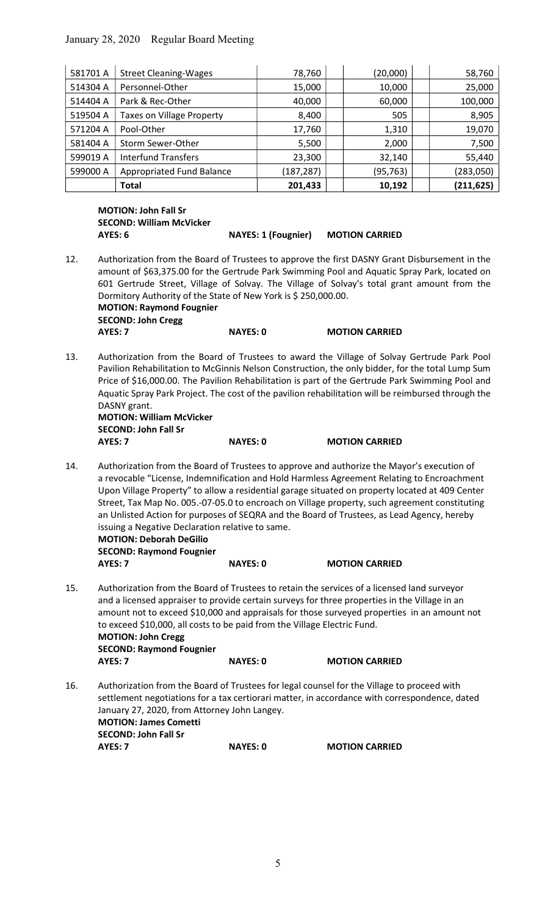January 28, 2020 Regular Board Meeting

| 581701 A | <b>Street Cleaning-Wages</b>     | 78,760     | (20,000)  | 58,760     |
|----------|----------------------------------|------------|-----------|------------|
| 514304 A | Personnel-Other                  | 15,000     | 10,000    | 25,000     |
| 514404 A | Park & Rec-Other                 | 40,000     | 60,000    | 100,000    |
| 519504 A | <b>Taxes on Village Property</b> | 8,400      | 505       | 8,905      |
| 571204 A | Pool-Other                       | 17,760     | 1,310     | 19,070     |
| 581404 A | Storm Sewer-Other                | 5,500      | 2,000     | 7,500      |
| 599019 A | Interfund Transfers              | 23,300     | 32,140    | 55,440     |
| 599000 A | Appropriated Fund Balance        | (187, 287) | (95, 763) | (283,050)  |
|          | <b>Total</b>                     | 201,433    | 10,192    | (211, 625) |

MOTION: John Fall Sr SECOND: William McVicker

AYES: 6 NAYES: 1 (Fougnier) MOTION CARRIED

- 12. Authorization from the Board of Trustees to approve the first DASNY Grant Disbursement in the amount of \$63,375.00 for the Gertrude Park Swimming Pool and Aquatic Spray Park, located on 601 Gertrude Street, Village of Solvay. The Village of Solvay's total grant amount from the Dormitory Authority of the State of New York is \$ 250,000.00. MOTION: Raymond Fougnier SECOND: John Cregg AYES: 7 NAYES: 0 MOTION CARRIED
- 13. Authorization from the Board of Trustees to award the Village of Solvay Gertrude Park Pool Pavilion Rehabilitation to McGinnis Nelson Construction, the only bidder, for the total Lump Sum Price of \$16,000.00. The Pavilion Rehabilitation is part of the Gertrude Park Swimming Pool and Aquatic Spray Park Project. The cost of the pavilion rehabilitation will be reimbursed through the DASNY grant.

 MOTION: William McVicker SECOND: John Fall Sr AYES: 7 NAYES: 0 MOTION CARRIED

14. Authorization from the Board of Trustees to approve and authorize the Mayor's execution of a revocable "License, Indemnification and Hold Harmless Agreement Relating to Encroachment Upon Village Property" to allow a residential garage situated on property located at 409 Center Street, Tax Map No. 005.-07-05.0 to encroach on Village property, such agreement constituting an Unlisted Action for purposes of SEQRA and the Board of Trustees, as Lead Agency, hereby issuing a Negative Declaration relative to same.

 MOTION: Deborah DeGilio SECOND: Raymond Fougnier

| AYES: 7 |  | <b>NAYES: 0</b> | <b>MOTION CARRIED</b> |
|---------|--|-----------------|-----------------------|
|         |  |                 |                       |

- 15. Authorization from the Board of Trustees to retain the services of a licensed land surveyor and a licensed appraiser to provide certain surveys for three properties in the Village in an amount not to exceed \$10,000 and appraisals for those surveyed properties in an amount not to exceed \$10,000, all costs to be paid from the Village Electric Fund. MOTION: John Cregg SECOND: Raymond Fougnier AYES: 7 NAYES: 0 MOTION CARRIED
- 16. Authorization from the Board of Trustees for legal counsel for the Village to proceed with settlement negotiations for a tax certiorari matter, in accordance with correspondence, dated January 27, 2020, from Attorney John Langey. MOTION: James Cometti SECOND: John Fall Sr AYES: 7 NAYES: 0 MOTION CARRIED